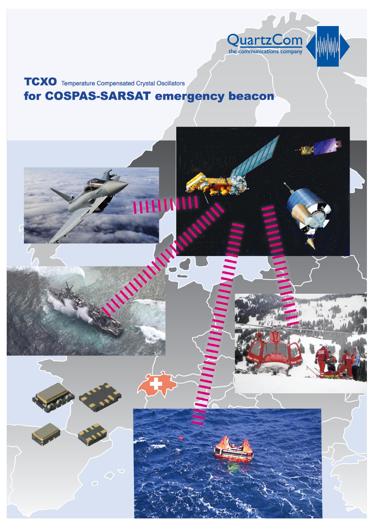

# **TCXO** Temperature Compensated Crystal Oscillators for COSPAS-SARSAT emergency beacon

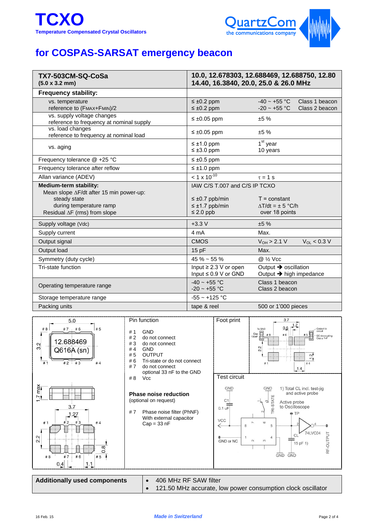

# **for COSPAS-SARSAT emergency beacon**

| TX7-503CM-SQ-CoSa<br>(5.0 x 3.2 mm)                                                                                 | 10.0, 12.678303, 12.688469, 12.688750, 12.80<br>14.40, 16.3840, 20.0, 25.0 & 26.0 MHz |                                                                                    |  |
|---------------------------------------------------------------------------------------------------------------------|---------------------------------------------------------------------------------------|------------------------------------------------------------------------------------|--|
| <b>Frequency stability:</b>                                                                                         |                                                                                       |                                                                                    |  |
| vs. temperature<br>reference to (FMAX+FMIN)/2                                                                       | $\leq \pm 0.2$ ppm<br>$\leq \pm 0.2$ ppm                                              | $-40 \sim +55$ °C<br>Class 1 beacon<br>$-20 \sim +55 \text{ °C}$<br>Class 2 beacon |  |
| vs. supply voltage changes<br>reference to frequency at nominal supply                                              | $\leq \pm 0.05$ ppm                                                                   | ±5%                                                                                |  |
| vs. load changes<br>reference to frequency at nominal load                                                          | $\leq \pm 0.05$ ppm                                                                   | ±5%                                                                                |  |
| vs. aging                                                                                                           | $\leq \pm 1.0$ ppm<br>$\leq \pm 3.0$ ppm                                              | $1st$ year<br>10 years                                                             |  |
| Frequency tolerance @ +25 °C                                                                                        | $\leq \pm 0.5$ ppm                                                                    |                                                                                    |  |
| Frequency tolerance after reflow                                                                                    | $\leq \pm 1.0$ ppm                                                                    |                                                                                    |  |
| Allan variance (ADEV)                                                                                               | $< 1 \times 10^{-10}$                                                                 | $\tau = 1$ S                                                                       |  |
| <b>Medium-term stability:</b><br>Mean slope AF/dt after 15 min power-up:<br>steady state<br>during temperature ramp | IAW C/S T.007 and C/S IP TCXO<br>$\leq \pm 0.7$ ppb/min<br>$\leq \pm 1.7$ ppb/min     | $T = constant$<br>$\Delta T/dt = \pm 5$ °C/h                                       |  |
| Residual AF (rms) from slope                                                                                        | $\leq$ 2.0 ppb                                                                        | over 18 points                                                                     |  |
| Supply voltage (Vdc)                                                                                                | $+3.3V$                                                                               | ±5%                                                                                |  |
| Supply current                                                                                                      | 4 mA                                                                                  | Max.                                                                               |  |
| Output signal                                                                                                       | <b>CMOS</b>                                                                           | $V_{OL}$ < 0.3 V<br>$V_{OH} > 2.1 V$                                               |  |
| Output load                                                                                                         | 15 pF                                                                                 | Max.                                                                               |  |
| Symmetry (duty cycle)                                                                                               | $45 \% \sim 55 \%$                                                                    | @ 1/2 Vcc                                                                          |  |
| Tri-state function                                                                                                  | Input $\geq 2.3$ V or open<br>Input $\leq 0.9$ V or GND                               | Output $\rightarrow$ oscillation<br>Output $\rightarrow$ high impedance            |  |
| Operating temperature range                                                                                         | $-40 \sim +55$ °C<br>$-20 \sim +55$ °C                                                | Class 1 beacon<br>Class 2 beacon                                                   |  |
| Storage temperature range                                                                                           | $-55 - +125$ °C                                                                       |                                                                                    |  |
| Packing units                                                                                                       | tape & reel                                                                           | 500 or 1'000 pieces                                                                |  |



121.50 MHz accurate, low power consumption clock oscillator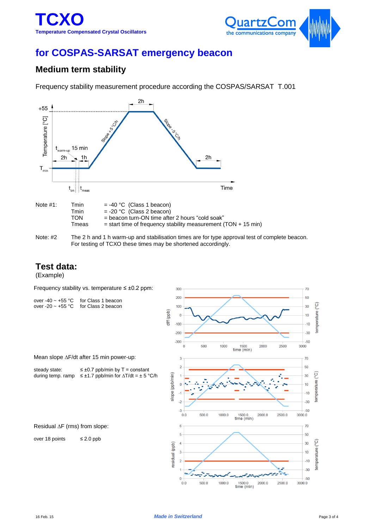

## **for COSPAS-SARSAT emergency beacon**

## **Medium term stability**

Frequency stability measurement procedure according the COSPAS/SARSAT T.001



Note: #2 The 2 h and 1 h warm-up and stabilisation times are for type approval test of complete beacon. For testing of TCXO these times may be shortened accordingly.

#### **Test data:**

(Example)

Frequency stability vs. temperature ≤ ±0.2 ppm:

| over -40 $\sim$ +55 °C for Class 1 beacon |
|-------------------------------------------|
| over -20 $\sim$ +55 °C for Class 2 beacon |



| steady state: | $\leq \pm 0.7$ ppb/min by T = constant                                  |
|---------------|-------------------------------------------------------------------------|
|               | during temp. ramp $\leq \pm 1.7$ ppb/min for $\Delta T/dt = \pm 5$ °C/h |

Residual  $\Delta F$  (rms) from slope:

over 18 points ≤ 2.0 ppb